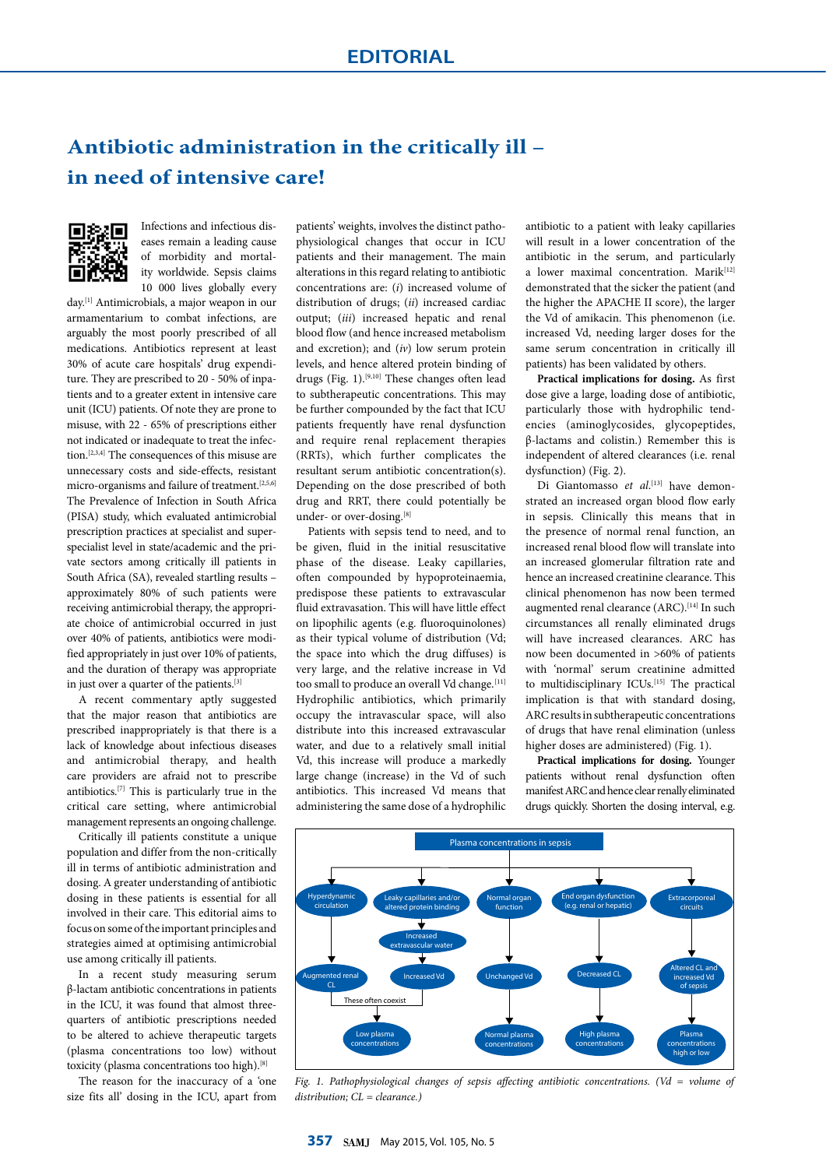## **Antibiotic administration in the critically ill – in need of intensive care!**



Infections and infectious diseases remain a leading cause of morbidity and mortality worldwide. Sepsis claims 10 000 lives globally every

day.[1] Antimicrobials, a major weapon in our armamentarium to combat infections, are arguably the most poorly prescribed of all medications. Antibiotics represent at least 30% of acute care hospitals' drug expenditure. They are prescribed to 20 - 50% of inpatients and to a greater extent in intensive care unit (ICU) patients. Of note they are prone to misuse, with 22 - 65% of prescriptions either not indicated or inadequate to treat the infection.[2,3,4] The consequences of this misuse are unnecessary costs and side-effects, resistant micro-organisms and failure of treatment.<sup>[2,5,6]</sup> The Prevalence of Infection in South Africa (PISA) study, which evaluated antimicrobial prescription practices at specialist and superspecialist level in state/academic and the private sectors among critically ill patients in South Africa (SA), revealed startling results – approximately 80% of such patients were receiving antimicrobial therapy, the appropriate choice of antimicrobial occurred in just over 40% of patients, antibiotics were modified appropriately in just over 10% of patients, and the duration of therapy was appropriate in just over a quarter of the patients.<sup>[3]</sup>

A recent commentary aptly suggested that the major reason that antibiotics are prescribed inappropriately is that there is a lack of knowledge about infectious diseases and antimicrobial therapy, and health care providers are afraid not to prescribe antibiotics.[7] This is particularly true in the critical care setting, where antimicrobial management represents an ongoing challenge.

Critically ill patients constitute a unique population and differ from the non-critically ill in terms of antibiotic administration and dosing. A greater understanding of antibiotic dosing in these patients is essential for all involved in their care. This editorial aims to focus on some of the important principles and strategies aimed at optimising antimicrobial use among critically ill patients.

In a recent study measuring serum β-lactam antibiotic concentrations in patients in the ICU, it was found that almost threequarters of antibiotic prescriptions needed to be altered to achieve therapeutic targets (plasma concentrations too low) without toxicity (plasma concentrations too high).[8]

The reason for the inaccuracy of a 'one size fits all' dosing in the ICU, apart from

patients' weights, involves the distinct pathophysiological changes that occur in ICU patients and their management. The main alterations in this regard relating to antibiotic concentrations are: (*i*) increased volume of distribution of drugs; (*ii*) increased cardiac output; (*iii*) increased hepatic and renal blood flow (and hence increased metabolism and excretion); and (*iv*) low serum protein levels, and hence altered protein binding of drugs (Fig. 1).[9,10] These changes often lead to subtherapeutic concentrations. This may be further compounded by the fact that ICU patients frequently have renal dysfunction and require renal replacement therapies (RRTs), which further complicates the resultant serum antibiotic concentration(s). Depending on the dose prescribed of both drug and RRT, there could potentially be under- or over-dosing.[8]

Patients with sepsis tend to need, and to be given, fluid in the initial resuscitative phase of the disease. Leaky capillaries, often compounded by hypoproteinaemia, predispose these patients to extravascular fluid extravasation. This will have little effect on lipophilic agents (e.g. fluoroquinolones) as their typical volume of distribution (Vd; the space into which the drug diffuses) is very large, and the relative increase in Vd too small to produce an overall Vd change.<sup>[11]</sup> Hydrophilic antibiotics, which primarily occupy the intravascular space, will also distribute into this increased extravascular water, and due to a relatively small initial Vd, this increase will produce a markedly large change (increase) in the Vd of such antibiotics. This increased Vd means that administering the same dose of a hydrophilic

antibiotic to a patient with leaky capillaries will result in a lower concentration of the antibiotic in the serum, and particularly a lower maximal concentration. Marik<sup>[12]</sup> demonstrated that the sicker the patient (and the higher the APACHE II score), the larger the Vd of amikacin. This phenomenon (i.e. increased Vd, needing larger doses for the same serum concentration in critically ill patients) has been validated by others.

**Practical implications for dosing.** As first dose give a large, loading dose of antibiotic, particularly those with hydrophilic tendencies (aminoglycosides, glycopeptides, β-lactams and colistin.) Remember this is independent of altered clearances (i.e. renal dysfunction) (Fig. 2).

Di Giantomasso et al.<sup>[13]</sup> have demonstrated an increased organ blood flow early in sepsis. Clinically this means that in the presence of normal renal function, an increased renal blood flow will translate into an increased glomerular filtration rate and hence an increased creatinine clearance. This clinical phenomenon has now been termed augmented renal clearance (ARC).<sup>[14]</sup> In such circumstances all renally eliminated drugs will have increased clearances. ARC has now been documented in >60% of patients with 'normal' serum creatinine admitted to multidisciplinary ICUs.<sup>[15]</sup> The practical implication is that with standard dosing, ARC results in subtherapeutic concentrations of drugs that have renal elimination (unless higher doses are administered) (Fig. 1).

**Practical implications for dosing.** Younger patients without renal dysfunction often manifest ARC and hence clear renally eliminated drugs quickly. Shorten the dosing interval, e.g.



*Fig. 1. Pathophysiological changes of sepsis affecting antibiotic concentrations. (Vd = volume of distribution; CL = clearance.)*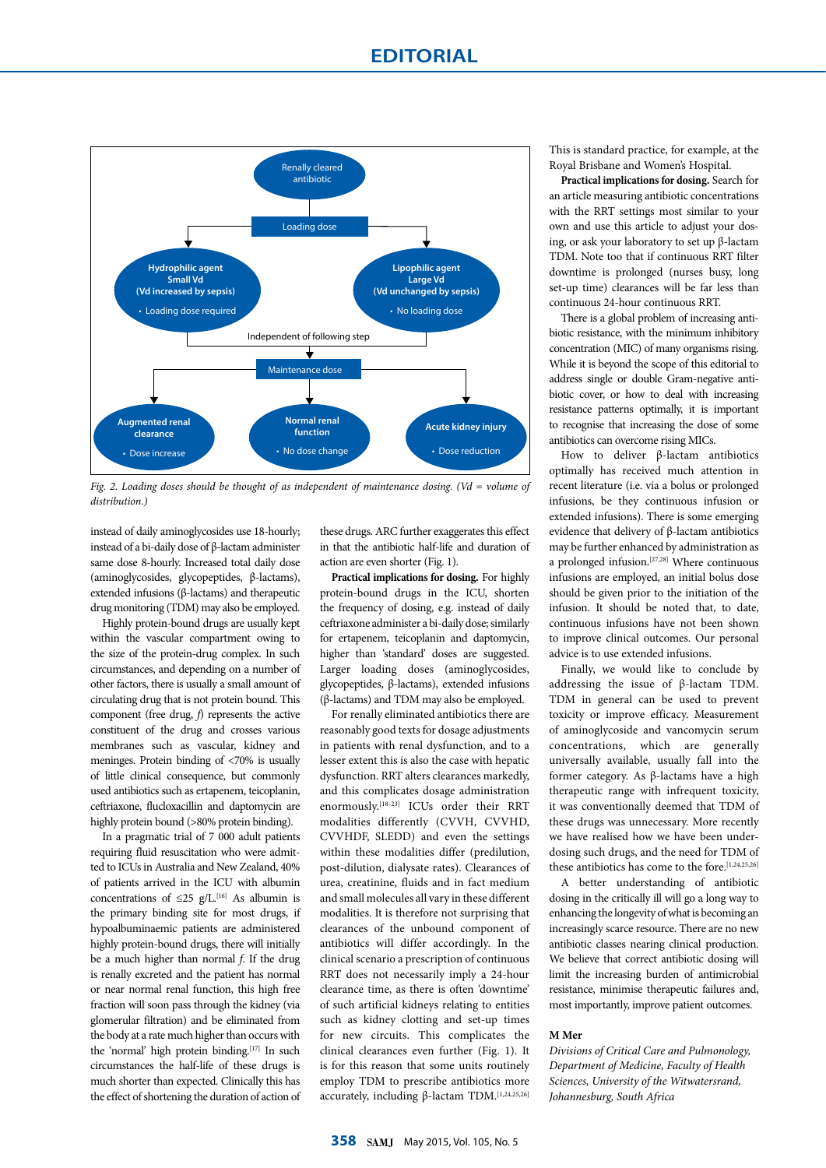

*Fig. 2. Loading doses should be thought of as independent of maintenance dosing. (Vd = volume of distribution.)*

instead of daily aminoglycosides use 18-hourly; instead of a bi-daily dose of β-lactam administer same dose 8-hourly. Increased total daily dose (aminoglycosides, glycopeptides, β-lactams), extended infusions (β-lactams) and therapeutic drug monitoring (TDM) may also be employed.

Highly protein-bound drugs are usually kept within the vascular compartment owing to the size of the protein-drug complex. In such circumstances, and depending on a number of other factors, there is usually a small amount of circulating drug that is not protein bound. This component (free drug, *f*) represents the active constituent of the drug and crosses various membranes such as vascular, kidney and meninges. Protein binding of <70% is usually of little clinical consequence, but commonly used antibiotics such as ertapenem, teicoplanin, ceftriaxone, flucloxacillin and daptomycin are highly protein bound (>80% protein binding).

In a pragmatic trial of 7 000 adult patients requiring fluid resuscitation who were admitted to ICUs in Australia and New Zealand, 40% of patients arrived in the ICU with albumin concentrations of  $\leq$ 25 g/L.<sup>[16]</sup> As albumin is the primary binding site for most drugs, if hypoalbuminaemic patients are administered highly protein-bound drugs, there will initially be a much higher than normal *f*. If the drug is renally excreted and the patient has normal or near normal renal function, this high free fraction will soon pass through the kidney (via glomerular filtration) and be eliminated from the body at a rate much higher than occurs with the 'normal' high protein binding.<sup>[17]</sup> In such circumstances the half-life of these drugs is much shorter than expected. Clinically this has the effect of shortening the duration of action of

these drugs. ARC further exaggerates this effect in that the antibiotic half-life and duration of action are even shorter (Fig. 1).

**Practical implications for dosing.** For highly protein-bound drugs in the ICU, shorten the frequency of dosing, e.g. instead of daily ceftriaxone administer a bi-daily dose; similarly for ertapenem, teicoplanin and daptomycin, higher than 'standard' doses are suggested. Larger loading doses (aminoglycosides, glycopeptides, β-lactams), extended infusions (β-lactams) and TDM may also be employed.

For renally eliminated antibiotics there are reasonably good texts for dosage adjustments in patients with renal dysfunction, and to a lesser extent this is also the case with hepatic dysfunction. RRT alters clearances markedly, and this complicates dosage administration enormously.<sup>[18-23]</sup> ICUs order their RRT modalities differently (CVVH, CVVHD, CVVHDF, SLEDD) and even the settings within these modalities differ (predilution, post-dilution, dialysate rates). Clearances of urea, creatinine, fluids and in fact medium and small molecules all vary in these different modalities. It is therefore not surprising that clearances of the unbound component of antibiotics will differ accordingly. In the clinical scenario a prescription of continuous RRT does not necessarily imply a 24-hour clearance time, as there is often 'downtime' of such artificial kidneys relating to entities such as kidney clotting and set-up times for new circuits. This complicates the clinical clearances even further (Fig. 1). It is for this reason that some units routinely employ TDM to prescribe antibiotics more accurately, including β-lactam TDM.  $[1,24,25,26]$ 

This is standard practice, for example, at the Royal Brisbane and Women's Hospital.

**Practical implications for dosing.** Search for an article measuring antibiotic concentrations with the RRT settings most similar to your own and use this article to adjust your dosing, or ask your laboratory to set up β-lactam TDM. Note too that if continuous RRT filter downtime is prolonged (nurses busy, long set-up time) clearances will be far less than continuous 24-hour continuous RRT.

There is a global problem of increasing antibiotic resistance, with the minimum inhibitory concentration (MIC) of many organisms rising. While it is beyond the scope of this editorial to address single or double Gram-negative antibiotic cover, or how to deal with increasing resistance patterns optimally, it is important to recognise that increasing the dose of some antibiotics can overcome rising MICs.

How to deliver β-lactam antibiotics optimally has received much attention in recent literature (i.e. via a bolus or prolonged infusions, be they continuous infusion or extended infusions). There is some emerging evidence that delivery of β-lactam antibiotics may be further enhanced by administration as a prolonged infusion.[27,28] Where continuous infusions are employed, an initial bolus dose should be given prior to the initiation of the infusion. It should be noted that, to date, continuous infusions have not been shown to improve clinical outcomes. Our personal advice is to use extended infusions.

Finally, we would like to conclude by addressing the issue of β-lactam TDM. TDM in general can be used to prevent toxicity or improve efficacy. Measurement of aminoglycoside and vancomycin serum concentrations, which are generally universally available, usually fall into the former category. As β-lactams have a high therapeutic range with infrequent toxicity, it was conventionally deemed that TDM of these drugs was unnecessary. More recently we have realised how we have been underdosing such drugs, and the need for TDM of these antibiotics has come to the fore.<sup>[1,24,25,26]</sup>

A better understanding of antibiotic dosing in the critically ill will go a long way to enhancing the longevity of what is becoming an increasingly scarce resource. There are no new antibiotic classes nearing clinical production. We believe that correct antibiotic dosing will limit the increasing burden of antimicrobial resistance, minimise therapeutic failures and, most importantly, improve patient outcomes.

## **M Mer**

*Divisions of Critical Care and Pulmonology, Department of Medicine, Faculty of Health Sciences, University of the Witwatersrand, Johannesburg, South Africa*